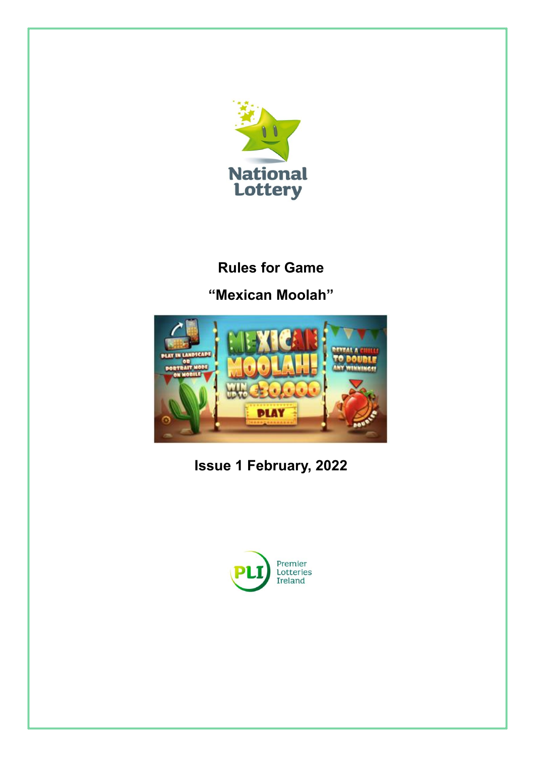

# **Rules for Game**

**"Mexican Moolah"**



# **Issue 1 February, 2022**

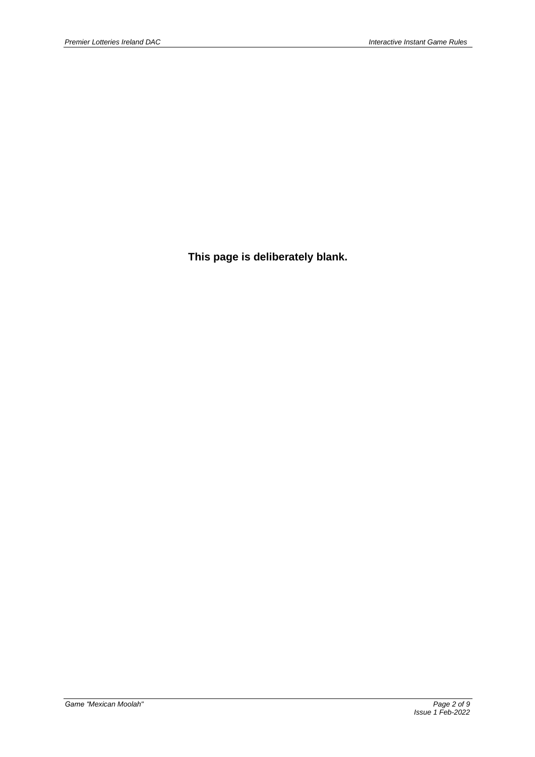**This page is deliberately blank.**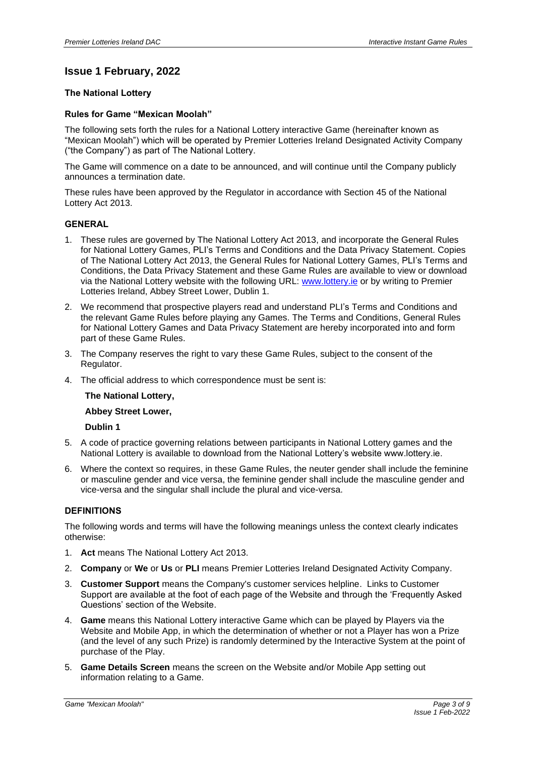# **Issue 1 February, 2022**

# **The National Lottery**

### **Rules for Game "Mexican Moolah"**

The following sets forth the rules for a National Lottery interactive Game (hereinafter known as "Mexican Moolah") which will be operated by Premier Lotteries Ireland Designated Activity Company ("the Company") as part of The National Lottery.

The Game will commence on a date to be announced, and will continue until the Company publicly announces a termination date.

These rules have been approved by the Regulator in accordance with Section 45 of the National Lottery Act 2013.

### **GENERAL**

- 1. These rules are governed by The National Lottery Act 2013, and incorporate the General Rules for National Lottery Games, PLI's Terms and Conditions and the Data Privacy Statement. Copies of The National Lottery Act 2013, the General Rules for National Lottery Games, PLI's Terms and Conditions, the Data Privacy Statement and these Game Rules are available to view or download via the National Lottery website with the following URL: [www.lottery.ie](http://www.lotto.ie/) or by writing to Premier Lotteries Ireland, Abbey Street Lower, Dublin 1.
- 2. We recommend that prospective players read and understand PLI's Terms and Conditions and the relevant Game Rules before playing any Games. The Terms and Conditions, General Rules for National Lottery Games and Data Privacy Statement are hereby incorporated into and form part of these Game Rules.
- 3. The Company reserves the right to vary these Game Rules, subject to the consent of the Regulator.
- 4. The official address to which correspondence must be sent is:

#### **The National Lottery,**

#### **Abbey Street Lower,**

**Dublin 1**

- 5. A code of practice governing relations between participants in National Lottery games and the National Lottery is available to download from the National Lottery's website www.lottery.ie.
- 6. Where the context so requires, in these Game Rules, the neuter gender shall include the feminine or masculine gender and vice versa, the feminine gender shall include the masculine gender and vice-versa and the singular shall include the plural and vice-versa.

# **DEFINITIONS**

The following words and terms will have the following meanings unless the context clearly indicates otherwise:

- 1. **Act** means The National Lottery Act 2013.
- 2. **Company** or **We** or **Us** or **PLI** means Premier Lotteries Ireland Designated Activity Company.
- 3. **Customer Support** means the Company's customer services helpline. Links to Customer Support are available at the foot of each page of the Website and through the 'Frequently Asked Questions' section of the Website.
- 4. **Game** means this National Lottery interactive Game which can be played by Players via the Website and Mobile App, in which the determination of whether or not a Player has won a Prize (and the level of any such Prize) is randomly determined by the Interactive System at the point of purchase of the Play.
- 5. **Game Details Screen** means the screen on the Website and/or Mobile App setting out information relating to a Game.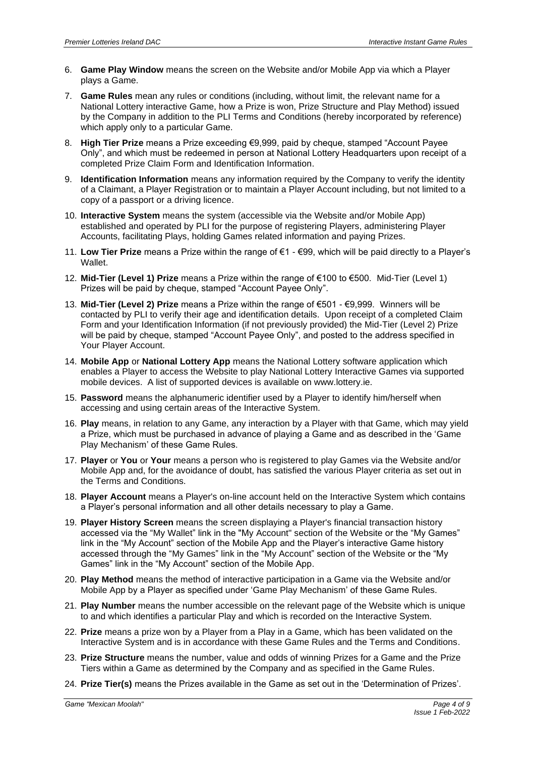- 6. **Game Play Window** means the screen on the Website and/or Mobile App via which a Player plays a Game.
- 7. **Game Rules** mean any rules or conditions (including, without limit, the relevant name for a National Lottery interactive Game, how a Prize is won, Prize Structure and Play Method) issued by the Company in addition to the PLI Terms and Conditions (hereby incorporated by reference) which apply only to a particular Game.
- 8. **High Tier Prize** means a Prize exceeding €9,999, paid by cheque, stamped "Account Payee Only", and which must be redeemed in person at National Lottery Headquarters upon receipt of a completed Prize Claim Form and Identification Information.
- 9. **Identification Information** means any information required by the Company to verify the identity of a Claimant, a Player Registration or to maintain a Player Account including, but not limited to a copy of a passport or a driving licence.
- 10. **Interactive System** means the system (accessible via the Website and/or Mobile App) established and operated by PLI for the purpose of registering Players, administering Player Accounts, facilitating Plays, holding Games related information and paying Prizes.
- 11. **Low Tier Prize** means a Prize within the range of €1 €99, which will be paid directly to a Player's Wallet.
- 12. **Mid-Tier (Level 1) Prize** means a Prize within the range of €100 to €500. Mid-Tier (Level 1) Prizes will be paid by cheque, stamped "Account Payee Only".
- 13. **Mid-Tier (Level 2) Prize** means a Prize within the range of €501 €9,999. Winners will be contacted by PLI to verify their age and identification details. Upon receipt of a completed Claim Form and your Identification Information (if not previously provided) the Mid-Tier (Level 2) Prize will be paid by cheque, stamped "Account Payee Only", and posted to the address specified in Your Player Account.
- 14. **Mobile App** or **National Lottery App** means the National Lottery software application which enables a Player to access the Website to play National Lottery Interactive Games via supported mobile devices. A list of supported devices is available on www.lottery.ie.
- 15. **Password** means the alphanumeric identifier used by a Player to identify him/herself when accessing and using certain areas of the Interactive System.
- 16. **Play** means, in relation to any Game, any interaction by a Player with that Game, which may yield a Prize, which must be purchased in advance of playing a Game and as described in the 'Game Play Mechanism' of these Game Rules.
- 17. **Player** or **You** or **Your** means a person who is registered to play Games via the Website and/or Mobile App and, for the avoidance of doubt, has satisfied the various Player criteria as set out in the Terms and Conditions.
- 18. **Player Account** means a Player's on-line account held on the Interactive System which contains a Player's personal information and all other details necessary to play a Game.
- 19. **Player History Screen** means the screen displaying a Player's financial transaction history accessed via the "My Wallet" link in the "My Account" section of the Website or the "My Games" link in the "My Account" section of the Mobile App and the Player's interactive Game history accessed through the "My Games" link in the "My Account" section of the Website or the "My Games" link in the "My Account" section of the Mobile App.
- 20. **Play Method** means the method of interactive participation in a Game via the Website and/or Mobile App by a Player as specified under 'Game Play Mechanism' of these Game Rules.
- 21. **Play Number** means the number accessible on the relevant page of the Website which is unique to and which identifies a particular Play and which is recorded on the Interactive System.
- 22. **Prize** means a prize won by a Player from a Play in a Game, which has been validated on the Interactive System and is in accordance with these Game Rules and the Terms and Conditions.
- 23. **Prize Structure** means the number, value and odds of winning Prizes for a Game and the Prize Tiers within a Game as determined by the Company and as specified in the Game Rules.
- 24. **Prize Tier(s)** means the Prizes available in the Game as set out in the 'Determination of Prizes'.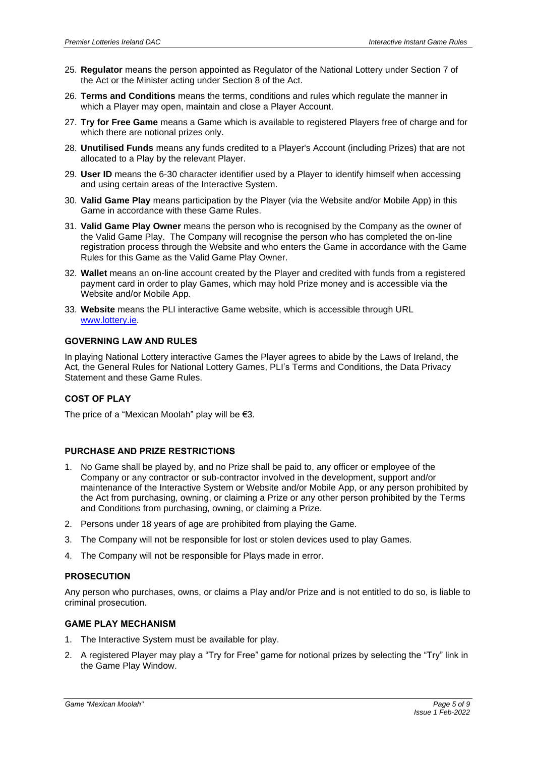- 25. **Regulator** means the person appointed as Regulator of the National Lottery under Section 7 of the Act or the Minister acting under Section 8 of the Act.
- 26. **Terms and Conditions** means the terms, conditions and rules which regulate the manner in which a Player may open, maintain and close a Player Account.
- 27. **Try for Free Game** means a Game which is available to registered Players free of charge and for which there are notional prizes only.
- 28. **Unutilised Funds** means any funds credited to a Player's Account (including Prizes) that are not allocated to a Play by the relevant Player.
- 29. **User ID** means the 6-30 character identifier used by a Player to identify himself when accessing and using certain areas of the Interactive System.
- 30. **Valid Game Play** means participation by the Player (via the Website and/or Mobile App) in this Game in accordance with these Game Rules.
- 31. **Valid Game Play Owner** means the person who is recognised by the Company as the owner of the Valid Game Play. The Company will recognise the person who has completed the on-line registration process through the Website and who enters the Game in accordance with the Game Rules for this Game as the Valid Game Play Owner.
- 32. **Wallet** means an on-line account created by the Player and credited with funds from a registered payment card in order to play Games, which may hold Prize money and is accessible via the Website and/or Mobile App.
- 33. **Website** means the PLI interactive Game website, which is accessible through URL www.lottery.ie.

# **GOVERNING LAW AND RULES**

In playing National Lottery interactive Games the Player agrees to abide by the Laws of Ireland, the Act, the General Rules for National Lottery Games, PLI's Terms and Conditions, the Data Privacy Statement and these Game Rules.

# **COST OF PLAY**

The price of a "Mexican Moolah" play will be  $\epsilon$ 3.

# **PURCHASE AND PRIZE RESTRICTIONS**

- 1. No Game shall be played by, and no Prize shall be paid to, any officer or employee of the Company or any contractor or sub-contractor involved in the development, support and/or maintenance of the Interactive System or Website and/or Mobile App, or any person prohibited by the Act from purchasing, owning, or claiming a Prize or any other person prohibited by the Terms and Conditions from purchasing, owning, or claiming a Prize.
- 2. Persons under 18 years of age are prohibited from playing the Game.
- 3. The Company will not be responsible for lost or stolen devices used to play Games.
- 4. The Company will not be responsible for Plays made in error.

# **PROSECUTION**

Any person who purchases, owns, or claims a Play and/or Prize and is not entitled to do so, is liable to criminal prosecution.

## **GAME PLAY MECHANISM**

- 1. The Interactive System must be available for play.
- 2. A registered Player may play a "Try for Free" game for notional prizes by selecting the "Try" link in the Game Play Window.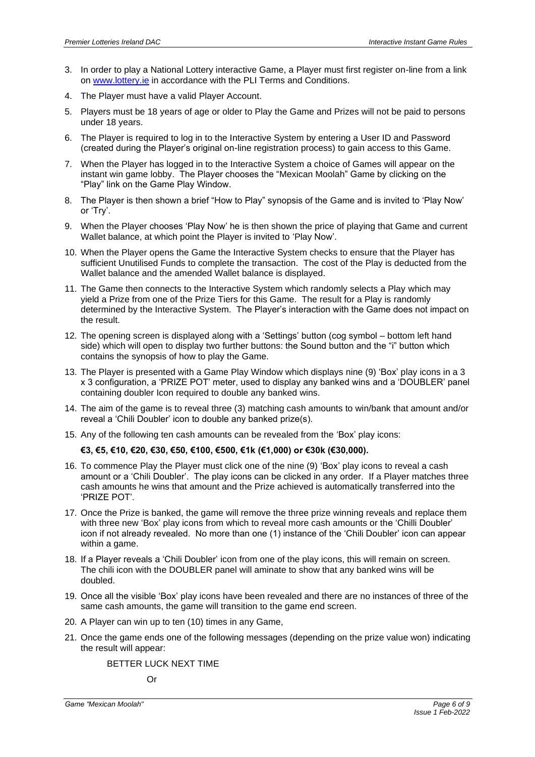- 3. In order to play a National Lottery interactive Game, a Player must first register on-line from a link on [www.lottery.ie](http://www.lotto.ie/) in accordance with the PLI Terms and Conditions.
- 4. The Player must have a valid Player Account.
- 5. Players must be 18 years of age or older to Play the Game and Prizes will not be paid to persons under 18 years.
- 6. The Player is required to log in to the Interactive System by entering a User ID and Password (created during the Player's original on-line registration process) to gain access to this Game.
- 7. When the Player has logged in to the Interactive System a choice of Games will appear on the instant win game lobby. The Player chooses the "Mexican Moolah" Game by clicking on the "Play" link on the Game Play Window.
- 8. The Player is then shown a brief "How to Play" synopsis of the Game and is invited to 'Play Now' or 'Try'.
- 9. When the Player chooses 'Play Now' he is then shown the price of playing that Game and current Wallet balance, at which point the Player is invited to 'Play Now'.
- 10. When the Player opens the Game the Interactive System checks to ensure that the Player has sufficient Unutilised Funds to complete the transaction. The cost of the Play is deducted from the Wallet balance and the amended Wallet balance is displayed.
- 11. The Game then connects to the Interactive System which randomly selects a Play which may yield a Prize from one of the Prize Tiers for this Game. The result for a Play is randomly determined by the Interactive System. The Player's interaction with the Game does not impact on the result.
- 12. The opening screen is displayed along with a 'Settings' button (cog symbol bottom left hand side) which will open to display two further buttons: the Sound button and the "i" button which contains the synopsis of how to play the Game.
- 13. The Player is presented with a Game Play Window which displays nine (9) 'Box' play icons in a 3 x 3 configuration, a 'PRIZE POT' meter, used to display any banked wins and a 'DOUBLER' panel containing doubler Icon required to double any banked wins.
- 14. The aim of the game is to reveal three (3) matching cash amounts to win/bank that amount and/or reveal a 'Chili Doubler' icon to double any banked prize(s).
- 15. Any of the following ten cash amounts can be revealed from the 'Box' play icons:

# **€3, €5, €10, €20, €30, €50, €100, €500, €1k (€1,000) or €30k (€30,000).**

- 16. To commence Play the Player must click one of the nine (9) 'Box' play icons to reveal a cash amount or a 'Chili Doubler'. The play icons can be clicked in any order. If a Player matches three cash amounts he wins that amount and the Prize achieved is automatically transferred into the 'PRIZE POT'.
- 17. Once the Prize is banked, the game will remove the three prize winning reveals and replace them with three new 'Box' play icons from which to reveal more cash amounts or the 'Chilli Doubler' icon if not already revealed. No more than one (1) instance of the 'Chili Doubler' icon can appear within a game.
- 18. If a Player reveals a 'Chili Doubler' icon from one of the play icons, this will remain on screen. The chili icon with the DOUBLER panel will aminate to show that any banked wins will be doubled.
- 19. Once all the visible 'Box' play icons have been revealed and there are no instances of three of the same cash amounts, the game will transition to the game end screen.
- 20. A Player can win up to ten (10) times in any Game,
- 21. Once the game ends one of the following messages (depending on the prize value won) indicating the result will appear:

BETTER LUCK NEXT TIME

Or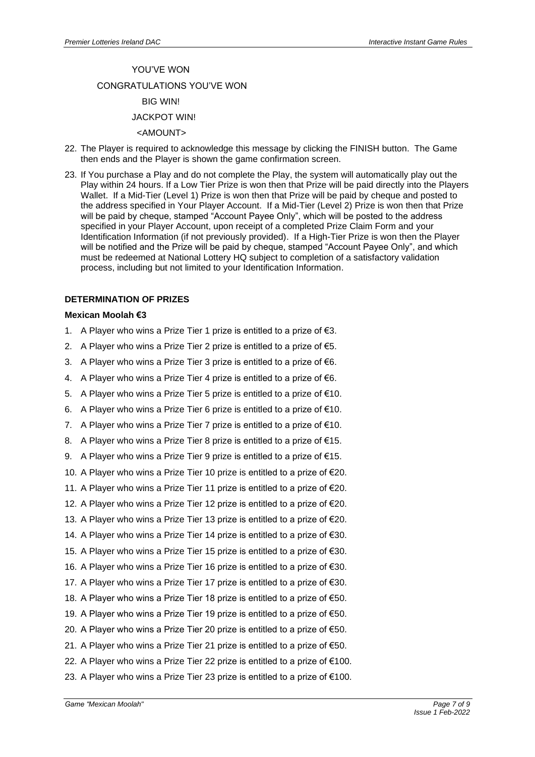# YOU'VE WON CONGRATULATIONS YOU'VE WON BIG WIN! JACKPOT WIN! <AMOUNT>

- 22. The Player is required to acknowledge this message by clicking the FINISH button. The Game then ends and the Player is shown the game confirmation screen.
- 23. If You purchase a Play and do not complete the Play, the system will automatically play out the Play within 24 hours. If a Low Tier Prize is won then that Prize will be paid directly into the Players Wallet. If a Mid-Tier (Level 1) Prize is won then that Prize will be paid by cheque and posted to the address specified in Your Player Account. If a Mid-Tier (Level 2) Prize is won then that Prize will be paid by cheque, stamped "Account Payee Only", which will be posted to the address specified in your Player Account, upon receipt of a completed Prize Claim Form and your Identification Information (if not previously provided). If a High-Tier Prize is won then the Player will be notified and the Prize will be paid by cheque, stamped "Account Payee Only", and which must be redeemed at National Lottery HQ subject to completion of a satisfactory validation process, including but not limited to your Identification Information.

### **DETERMINATION OF PRIZES**

#### **Mexican Moolah €3**

- 1. A Player who wins a Prize Tier 1 prize is entitled to a prize of €3.
- 2. A Player who wins a Prize Tier 2 prize is entitled to a prize of  $65$ .
- 3. A Player who wins a Prize Tier 3 prize is entitled to a prize of  $€6$ .
- 4. A Player who wins a Prize Tier 4 prize is entitled to a prize of  $€6$ .
- 5. A Player who wins a Prize Tier 5 prize is entitled to a prize of €10.
- 6. A Player who wins a Prize Tier 6 prize is entitled to a prize of €10.
- 7. A Player who wins a Prize Tier 7 prize is entitled to a prize of  $\epsilon$ 10.
- 8. A Player who wins a Prize Tier 8 prize is entitled to a prize of €15.
- 9. A Player who wins a Prize Tier 9 prize is entitled to a prize of €15.
- 10. A Player who wins a Prize Tier 10 prize is entitled to a prize of €20.
- 11. A Player who wins a Prize Tier 11 prize is entitled to a prize of €20.
- 12. A Player who wins a Prize Tier 12 prize is entitled to a prize of €20.
- 13. A Player who wins a Prize Tier 13 prize is entitled to a prize of €20.
- 14. A Player who wins a Prize Tier 14 prize is entitled to a prize of €30.
- 15. A Player who wins a Prize Tier 15 prize is entitled to a prize of €30.
- 16. A Player who wins a Prize Tier 16 prize is entitled to a prize of €30.
- 17. A Player who wins a Prize Tier 17 prize is entitled to a prize of €30.
- 18. A Player who wins a Prize Tier 18 prize is entitled to a prize of €50.
- 19. A Player who wins a Prize Tier 19 prize is entitled to a prize of €50.
- 20. A Player who wins a Prize Tier 20 prize is entitled to a prize of €50.
- 21. A Player who wins a Prize Tier 21 prize is entitled to a prize of €50.
- 22. A Player who wins a Prize Tier 22 prize is entitled to a prize of €100.
- 23. A Player who wins a Prize Tier 23 prize is entitled to a prize of €100.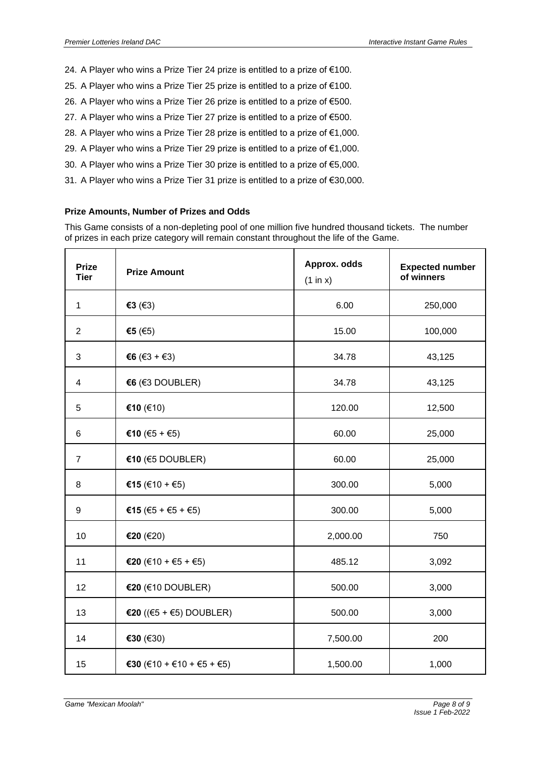- 24. A Player who wins a Prize Tier 24 prize is entitled to a prize of €100.
- 25. A Player who wins a Prize Tier 25 prize is entitled to a prize of €100.
- 26. A Player who wins a Prize Tier 26 prize is entitled to a prize of €500.
- 27. A Player who wins a Prize Tier 27 prize is entitled to a prize of €500.
- 28. A Player who wins a Prize Tier 28 prize is entitled to a prize of €1,000.
- 29. A Player who wins a Prize Tier 29 prize is entitled to a prize of €1,000.
- 30. A Player who wins a Prize Tier 30 prize is entitled to a prize of €5,000.
- 31. A Player who wins a Prize Tier 31 prize is entitled to a prize of €30,000.

# **Prize Amounts, Number of Prizes and Odds**

This Game consists of a non-depleting pool of one million five hundred thousand tickets. The number of prizes in each prize category will remain constant throughout the life of the Game.

| <b>Prize</b><br><b>Tier</b> | <b>Prize Amount</b>       | Approx. odds<br>(1 in x) | <b>Expected number</b><br>of winners |
|-----------------------------|---------------------------|--------------------------|--------------------------------------|
| 1                           | €3 (€3)                   | 6.00                     | 250,000                              |
| $\overline{2}$              | €5 (€5)                   | 15.00                    | 100,000                              |
| 3                           | €6 (€3 + €3)              | 34.78                    | 43,125                               |
| 4                           | €6 (€3 DOUBLER)           | 34.78                    | 43,125                               |
| 5                           | €10 (€10)                 | 120.00                   | 12,500                               |
| 6                           | €10 (€5 + €5)             | 60.00                    | 25,000                               |
| $\overline{7}$              | €10 (€5 DOUBLER)          | 60.00                    | 25,000                               |
| 8                           | €15 (€10 + €5)            | 300.00                   | 5,000                                |
| 9                           | €15 (€5 + €5 + €5)        | 300.00                   | 5,000                                |
| 10                          | €20 (€20)                 | 2,000.00                 | 750                                  |
| 11                          | €20 (€10 + €5 + €5)       | 485.12                   | 3,092                                |
| 12                          | €20 (€10 DOUBLER)         | 500.00                   | 3,000                                |
| 13                          | €20 ((€5 + €5) DOUBLER)   | 500.00                   | 3,000                                |
| 14                          | €30 (€30)                 | 7,500.00                 | 200                                  |
| 15                          | €30 (€10 + €10 + €5 + €5) | 1,500.00                 | 1,000                                |